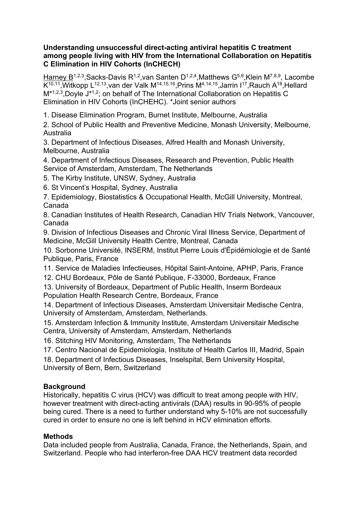## **Understanding unsuccessful direct-acting antiviral hepatitis C treatment among people living with HIV from the International Collaboration on Hepatitis C Elimination in HIV Cohorts (InCHECH)**

Harney B<sup>1,2,3</sup>, Sacks-Davis R<sup>1,2</sup>, van Santen D<sup>1,2,4</sup>, Matthews G<sup>5,6</sup>, Klein M<sup>7,8,9</sup>, Lacombe K<sup>10,11</sup>,Witkopp L<sup>12,13</sup>,van der Valk M<sup>14,15,16</sup>,Prins M<sup>4,14,15</sup>,Jarrin I<sup>17</sup>,Rauch A<sup>18</sup>,Hellard M<sup>\*1,2,3</sup>,Doyle J<sup>\*1,2</sup>; on behalf of The International Collaboration on Hepatitis C Elimination in HIV Cohorts (InCHEHC). \*Joint senior authors

1. Disease Elimination Program, Burnet Institute, Melbourne, Australia

2. School of Public Health and Preventive Medicine, Monash University, Melbourne, Australia

3. Department of Infectious Diseases, Alfred Health and Monash University, Melbourne, Australia

4. Department of Infectious Diseases, Research and Prevention, Public Health Service of Amsterdam, Amsterdam, The Netherlands

- 5. The Kirby Institute, UNSW, Sydney, Australia
- 6. St Vincent's Hospital, Sydney, Australia

7. Epidemiology, Biostatistics & Occupational Health, McGill University, Montreal, Canada

8. Canadian Institutes of Health Research, Canadian HIV Trials Network, Vancouver, Canada

9. Division of Infectious Diseases and Chronic Viral Illness Service, Department of Medicine, McGill University Health Centre, Montreal, Canada

10. Sorbonne Université, INSERM, Institut Pierre Louis d'Épidémiologie et de Santé Publique, Paris, France

11. Service de Maladies Infectieuses, Hôpital Saint-Antoine, APHP, Paris, France

12. CHU Bordeaux, Pôle de Santé Publique, F-33000, Bordeaux, France

13. University of Bordeaux, Department of Public Health, Inserm Bordeaux Population Health Research Centre, Bordeaux, France

14. Department of Infectious Diseases, Amsterdam Universitair Medische Centra, University of Amsterdam, Amsterdam, Netherlands.

15. Amsterdam Infection & Immunity Institute, Amsterdam Universitair Medische Centra, University of Amsterdam, Amsterdam, Netherlands

16. Stitching HIV Monitoring, Amsterdam, The Netherlands

17. Centro Nacional de Epidemiologia, Institute of Health Carlos III, Madrid, Spain 18. Department of Infectious Diseases, Inselspital, Bern University Hospital, University of Bern, Bern, Switzerland

# **Background**

Historically, hepatitis C virus (HCV) was difficult to treat among people with HIV, however treatment with direct-acting antivirals (DAA) results in 90-95% of people being cured. There is a need to further understand why 5-10% are not successfully cured in order to ensure no one is left behind in HCV elimination efforts.

## **Methods**

Data included people from Australia, Canada, France, the Netherlands, Spain, and Switzerland. People who had interferon-free DAA HCV treatment data recorded